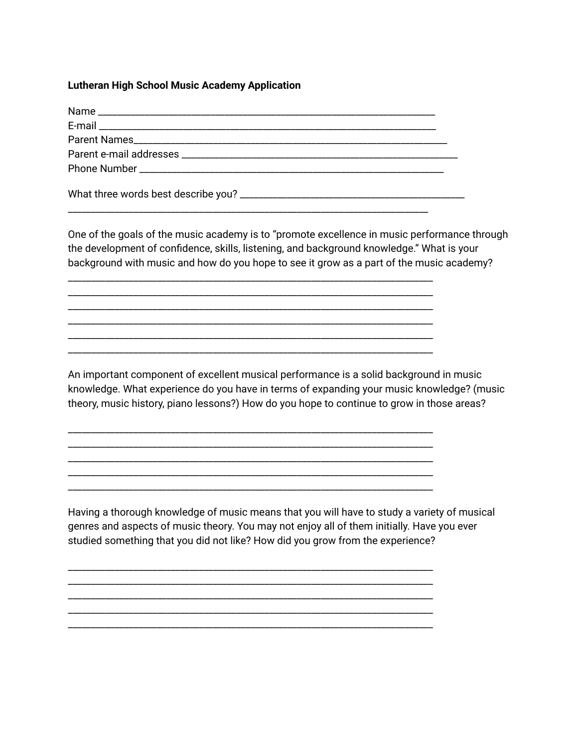## **Lutheran High School Music Academy Application**

One of the goals of the music academy is to "promote excellence in music performance through the development of confidence, skills, listening, and background knowledge." What is your background with music and how do you hope to see it grow as a part of the music academy?

\_\_\_\_\_\_\_\_\_\_\_\_\_\_\_\_\_\_\_\_\_\_\_\_\_\_\_\_\_\_\_\_\_\_\_\_\_\_\_\_\_\_\_\_\_\_\_\_\_\_\_\_\_\_\_\_\_\_\_\_\_\_\_\_\_\_\_\_\_\_\_\_\_\_\_\_\_\_ \_\_\_\_\_\_\_\_\_\_\_\_\_\_\_\_\_\_\_\_\_\_\_\_\_\_\_\_\_\_\_\_\_\_\_\_\_\_\_\_\_\_\_\_\_\_\_\_\_\_\_\_\_\_\_\_\_\_\_\_\_\_\_\_\_\_\_\_\_\_\_\_\_\_\_\_\_\_ \_\_\_\_\_\_\_\_\_\_\_\_\_\_\_\_\_\_\_\_\_\_\_\_\_\_\_\_\_\_\_\_\_\_\_\_\_\_\_\_\_\_\_\_\_\_\_\_\_\_\_\_\_\_\_\_\_\_\_\_\_\_\_\_\_\_\_\_\_\_\_\_\_\_\_\_\_\_ \_\_\_\_\_\_\_\_\_\_\_\_\_\_\_\_\_\_\_\_\_\_\_\_\_\_\_\_\_\_\_\_\_\_\_\_\_\_\_\_\_\_\_\_\_\_\_\_\_\_\_\_\_\_\_\_\_\_\_\_\_\_\_\_\_\_\_\_\_\_\_\_\_\_\_\_\_\_ \_\_\_\_\_\_\_\_\_\_\_\_\_\_\_\_\_\_\_\_\_\_\_\_\_\_\_\_\_\_\_\_\_\_\_\_\_\_\_\_\_\_\_\_\_\_\_\_\_\_\_\_\_\_\_\_\_\_\_\_\_\_\_\_\_\_\_\_\_\_\_\_\_\_\_\_\_\_ \_\_\_\_\_\_\_\_\_\_\_\_\_\_\_\_\_\_\_\_\_\_\_\_\_\_\_\_\_\_\_\_\_\_\_\_\_\_\_\_\_\_\_\_\_\_\_\_\_\_\_\_\_\_\_\_\_\_\_\_\_\_\_\_\_\_\_\_\_\_\_\_\_\_\_\_\_\_

\_\_\_\_\_\_\_\_\_\_\_\_\_\_\_\_\_\_\_\_\_\_\_\_\_\_\_\_\_\_\_\_\_\_\_\_\_\_\_\_\_\_\_\_\_\_\_\_\_\_\_\_\_\_\_\_\_\_\_\_\_\_\_\_\_\_\_\_\_\_\_\_\_\_\_\_\_\_ \_\_\_\_\_\_\_\_\_\_\_\_\_\_\_\_\_\_\_\_\_\_\_\_\_\_\_\_\_\_\_\_\_\_\_\_\_\_\_\_\_\_\_\_\_\_\_\_\_\_\_\_\_\_\_\_\_\_\_\_\_\_\_\_\_\_\_\_\_\_\_\_\_\_\_\_\_\_ \_\_\_\_\_\_\_\_\_\_\_\_\_\_\_\_\_\_\_\_\_\_\_\_\_\_\_\_\_\_\_\_\_\_\_\_\_\_\_\_\_\_\_\_\_\_\_\_\_\_\_\_\_\_\_\_\_\_\_\_\_\_\_\_\_\_\_\_\_\_\_\_\_\_\_\_\_\_ \_\_\_\_\_\_\_\_\_\_\_\_\_\_\_\_\_\_\_\_\_\_\_\_\_\_\_\_\_\_\_\_\_\_\_\_\_\_\_\_\_\_\_\_\_\_\_\_\_\_\_\_\_\_\_\_\_\_\_\_\_\_\_\_\_\_\_\_\_\_\_\_\_\_\_\_\_\_ \_\_\_\_\_\_\_\_\_\_\_\_\_\_\_\_\_\_\_\_\_\_\_\_\_\_\_\_\_\_\_\_\_\_\_\_\_\_\_\_\_\_\_\_\_\_\_\_\_\_\_\_\_\_\_\_\_\_\_\_\_\_\_\_\_\_\_\_\_\_\_\_\_\_\_\_\_\_

\_\_\_\_\_\_\_\_\_\_\_\_\_\_\_\_\_\_\_\_\_\_\_\_\_\_\_\_\_\_\_\_\_\_\_\_\_\_\_\_\_\_\_\_\_\_\_\_\_\_\_\_\_\_\_\_\_\_\_\_\_\_\_\_\_\_\_\_\_\_\_\_\_\_\_\_\_\_ \_\_\_\_\_\_\_\_\_\_\_\_\_\_\_\_\_\_\_\_\_\_\_\_\_\_\_\_\_\_\_\_\_\_\_\_\_\_\_\_\_\_\_\_\_\_\_\_\_\_\_\_\_\_\_\_\_\_\_\_\_\_\_\_\_\_\_\_\_\_\_\_\_\_\_\_\_\_ \_\_\_\_\_\_\_\_\_\_\_\_\_\_\_\_\_\_\_\_\_\_\_\_\_\_\_\_\_\_\_\_\_\_\_\_\_\_\_\_\_\_\_\_\_\_\_\_\_\_\_\_\_\_\_\_\_\_\_\_\_\_\_\_\_\_\_\_\_\_\_\_\_\_\_\_\_\_ \_\_\_\_\_\_\_\_\_\_\_\_\_\_\_\_\_\_\_\_\_\_\_\_\_\_\_\_\_\_\_\_\_\_\_\_\_\_\_\_\_\_\_\_\_\_\_\_\_\_\_\_\_\_\_\_\_\_\_\_\_\_\_\_\_\_\_\_\_\_\_\_\_\_\_\_\_\_ \_\_\_\_\_\_\_\_\_\_\_\_\_\_\_\_\_\_\_\_\_\_\_\_\_\_\_\_\_\_\_\_\_\_\_\_\_\_\_\_\_\_\_\_\_\_\_\_\_\_\_\_\_\_\_\_\_\_\_\_\_\_\_\_\_\_\_\_\_\_\_\_\_\_\_\_\_\_

An important component of excellent musical performance is a solid background in music knowledge. What experience do you have in terms of expanding your music knowledge? (music theory, music history, piano lessons?) How do you hope to continue to grow in those areas?

Having a thorough knowledge of music means that you will have to study a variety of musical genres and aspects of music theory. You may not enjoy all of them initially. Have you ever studied something that you did not like? How did you grow from the experience?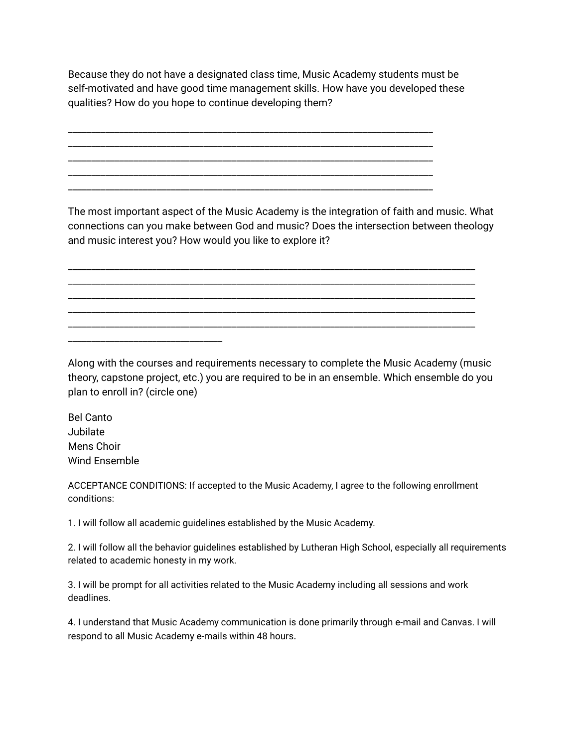Because they do not have a designated class time, Music Academy students must be self-motivated and have good time management skills. How have you developed these qualities? How do you hope to continue developing them?

\_\_\_\_\_\_\_\_\_\_\_\_\_\_\_\_\_\_\_\_\_\_\_\_\_\_\_\_\_\_\_\_\_\_\_\_\_\_\_\_\_\_\_\_\_\_\_\_\_\_\_\_\_\_\_\_\_\_\_\_\_\_\_\_\_\_\_\_\_\_\_\_\_\_\_\_\_\_ \_\_\_\_\_\_\_\_\_\_\_\_\_\_\_\_\_\_\_\_\_\_\_\_\_\_\_\_\_\_\_\_\_\_\_\_\_\_\_\_\_\_\_\_\_\_\_\_\_\_\_\_\_\_\_\_\_\_\_\_\_\_\_\_\_\_\_\_\_\_\_\_\_\_\_\_\_\_ \_\_\_\_\_\_\_\_\_\_\_\_\_\_\_\_\_\_\_\_\_\_\_\_\_\_\_\_\_\_\_\_\_\_\_\_\_\_\_\_\_\_\_\_\_\_\_\_\_\_\_\_\_\_\_\_\_\_\_\_\_\_\_\_\_\_\_\_\_\_\_\_\_\_\_\_\_\_ \_\_\_\_\_\_\_\_\_\_\_\_\_\_\_\_\_\_\_\_\_\_\_\_\_\_\_\_\_\_\_\_\_\_\_\_\_\_\_\_\_\_\_\_\_\_\_\_\_\_\_\_\_\_\_\_\_\_\_\_\_\_\_\_\_\_\_\_\_\_\_\_\_\_\_\_\_\_ \_\_\_\_\_\_\_\_\_\_\_\_\_\_\_\_\_\_\_\_\_\_\_\_\_\_\_\_\_\_\_\_\_\_\_\_\_\_\_\_\_\_\_\_\_\_\_\_\_\_\_\_\_\_\_\_\_\_\_\_\_\_\_\_\_\_\_\_\_\_\_\_\_\_\_\_\_\_

The most important aspect of the Music Academy is the integration of faith and music. What connections can you make between God and music? Does the intersection between theology and music interest you? How would you like to explore it?

\_\_\_\_\_\_\_\_\_\_\_\_\_\_\_\_\_\_\_\_\_\_\_\_\_\_\_\_\_\_\_\_\_\_\_\_\_\_\_\_\_\_\_\_\_\_\_\_\_\_\_\_\_\_\_\_\_\_\_\_\_\_\_\_\_\_\_\_\_\_\_\_\_\_\_\_\_\_\_\_\_\_\_\_\_\_\_ \_\_\_\_\_\_\_\_\_\_\_\_\_\_\_\_\_\_\_\_\_\_\_\_\_\_\_\_\_\_\_\_\_\_\_\_\_\_\_\_\_\_\_\_\_\_\_\_\_\_\_\_\_\_\_\_\_\_\_\_\_\_\_\_\_\_\_\_\_\_\_\_\_\_\_\_\_\_\_\_\_\_\_\_\_\_\_ \_\_\_\_\_\_\_\_\_\_\_\_\_\_\_\_\_\_\_\_\_\_\_\_\_\_\_\_\_\_\_\_\_\_\_\_\_\_\_\_\_\_\_\_\_\_\_\_\_\_\_\_\_\_\_\_\_\_\_\_\_\_\_\_\_\_\_\_\_\_\_\_\_\_\_\_\_\_\_\_\_\_\_\_\_\_\_ \_\_\_\_\_\_\_\_\_\_\_\_\_\_\_\_\_\_\_\_\_\_\_\_\_\_\_\_\_\_\_\_\_\_\_\_\_\_\_\_\_\_\_\_\_\_\_\_\_\_\_\_\_\_\_\_\_\_\_\_\_\_\_\_\_\_\_\_\_\_\_\_\_\_\_\_\_\_\_\_\_\_\_\_\_\_\_ \_\_\_\_\_\_\_\_\_\_\_\_\_\_\_\_\_\_\_\_\_\_\_\_\_\_\_\_\_\_\_\_\_\_\_\_\_\_\_\_\_\_\_\_\_\_\_\_\_\_\_\_\_\_\_\_\_\_\_\_\_\_\_\_\_\_\_\_\_\_\_\_\_\_\_\_\_\_\_\_\_\_\_\_\_\_\_

Along with the courses and requirements necessary to complete the Music Academy (music theory, capstone project, etc.) you are required to be in an ensemble. Which ensemble do you plan to enroll in? (circle one)

Bel Canto Jubilate Mens Choir Wind Ensemble

\_\_\_\_\_\_\_\_\_\_\_\_\_\_\_\_\_\_\_\_\_\_\_\_\_\_\_\_\_\_\_\_\_

ACCEPTANCE CONDITIONS: If accepted to the Music Academy, I agree to the following enrollment conditions:

1. I will follow all academic guidelines established by the Music Academy.

2. I will follow all the behavior guidelines established by Lutheran High School, especially all requirements related to academic honesty in my work.

3. I will be prompt for all activities related to the Music Academy including all sessions and work deadlines.

4. I understand that Music Academy communication is done primarily through e-mail and Canvas. I will respond to all Music Academy e-mails within 48 hours.